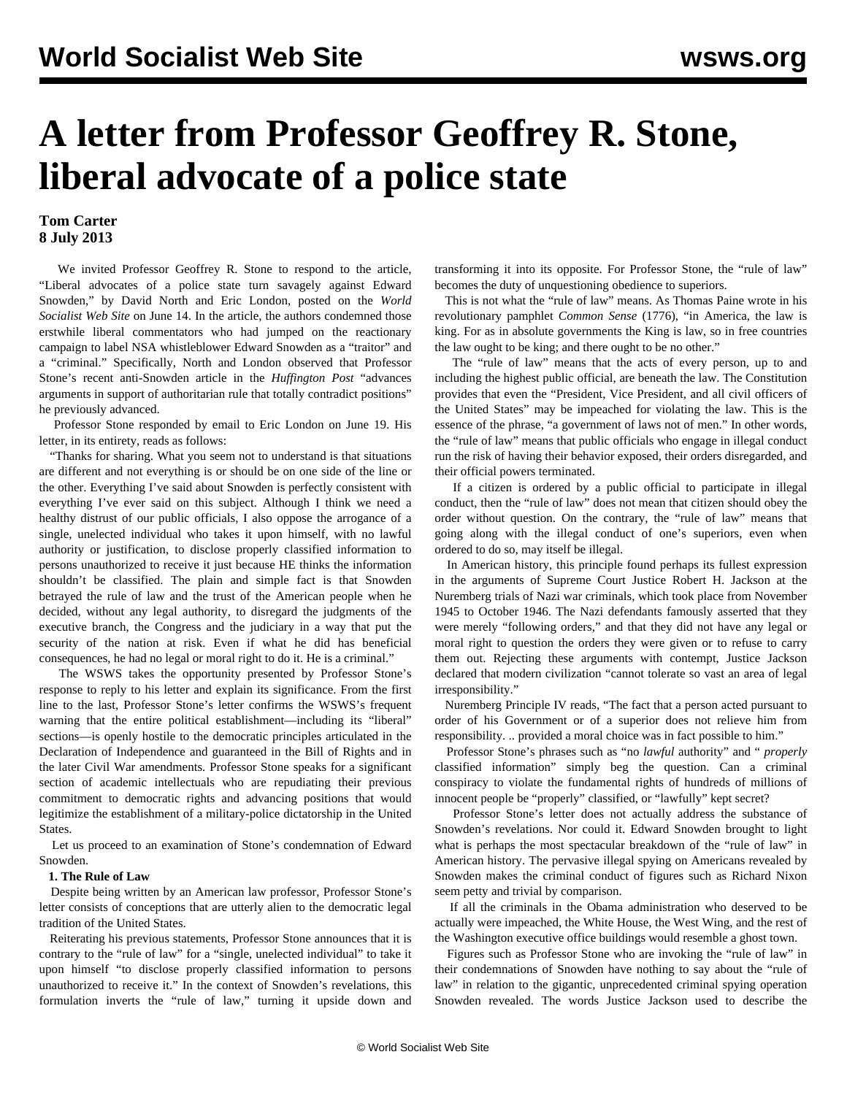# **A letter from Professor Geoffrey R. Stone, liberal advocate of a police state**

### **Tom Carter 8 July 2013**

 We invited Professor Geoffrey R. Stone to respond to the article, ["Liberal advocates of a police state turn savagely against Edward](/en/articles/2013/06/14/comm-j14.html) [Snowden,](/en/articles/2013/06/14/comm-j14.html)" by David North and Eric London, posted on the *World Socialist Web Site* on June 14. In the article, the authors condemned those erstwhile liberal commentators who had jumped on the reactionary campaign to label NSA whistleblower Edward Snowden as a "traitor" and a "criminal." Specifically, North and London observed that Professor Stone's recent anti-Snowden article in the *Huffington Post* "advances arguments in support of authoritarian rule that totally contradict positions" he previously advanced.

 Professor Stone responded by email to Eric London on June 19. His letter, in its entirety, reads as follows:

 "Thanks for sharing. What you seem not to understand is that situations are different and not everything is or should be on one side of the line or the other. Everything I've said about Snowden is perfectly consistent with everything I've ever said on this subject. Although I think we need a healthy distrust of our public officials, I also oppose the arrogance of a single, unelected individual who takes it upon himself, with no lawful authority or justification, to disclose properly classified information to persons unauthorized to receive it just because HE thinks the information shouldn't be classified. The plain and simple fact is that Snowden betrayed the rule of law and the trust of the American people when he decided, without any legal authority, to disregard the judgments of the executive branch, the Congress and the judiciary in a way that put the security of the nation at risk. Even if what he did has beneficial consequences, he had no legal or moral right to do it. He is a criminal."

 The WSWS takes the opportunity presented by Professor Stone's response to reply to his letter and explain its significance. From the first line to the last, Professor Stone's letter confirms the WSWS's frequent warning that the entire political establishment—including its "liberal" sections—is openly hostile to the democratic principles articulated in the Declaration of Independence and guaranteed in the Bill of Rights and in the later Civil War amendments. Professor Stone speaks for a significant section of academic intellectuals who are repudiating their previous commitment to democratic rights and advancing positions that would legitimize the establishment of a military-police dictatorship in the United States.

 Let us proceed to an examination of Stone's condemnation of Edward Snowden.

#### **1. The Rule of Law**

 Despite being written by an American law professor, Professor Stone's letter consists of conceptions that are utterly alien to the democratic legal tradition of the United States.

 Reiterating his previous statements, Professor Stone announces that it is contrary to the "rule of law" for a "single, unelected individual" to take it upon himself "to disclose properly classified information to persons unauthorized to receive it." In the context of Snowden's revelations, this formulation inverts the "rule of law," turning it upside down and transforming it into its opposite. For Professor Stone, the "rule of law" becomes the duty of unquestioning obedience to superiors.

 This is not what the "rule of law" means. As Thomas Paine wrote in his revolutionary pamphlet *Common Sense* (1776), "in America, the law is king. For as in absolute governments the King is law, so in free countries the law ought to be king; and there ought to be no other."

 The "rule of law" means that the acts of every person, up to and including the highest public official, are beneath the law. The Constitution provides that even the "President, Vice President, and all civil officers of the United States" may be impeached for violating the law. This is the essence of the phrase, "a government of laws not of men." In other words, the "rule of law" means that public officials who engage in illegal conduct run the risk of having their behavior exposed, their orders disregarded, and their official powers terminated.

 If a citizen is ordered by a public official to participate in illegal conduct, then the "rule of law" does not mean that citizen should obey the order without question. On the contrary, the "rule of law" means that going along with the illegal conduct of one's superiors, even when ordered to do so, may itself be illegal.

 In American history, this principle found perhaps its fullest expression in the arguments of Supreme Court Justice Robert H. Jackson at the Nuremberg trials of Nazi war criminals, which took place from November 1945 to October 1946. The Nazi defendants famously asserted that they were merely "following orders," and that they did not have any legal or moral right to question the orders they were given or to refuse to carry them out. Rejecting these arguments with contempt, Justice Jackson declared that modern civilization "cannot tolerate so vast an area of legal irresponsibility."

 Nuremberg Principle IV reads, "The fact that a person acted pursuant to order of his Government or of a superior does not relieve him from responsibility. .. provided a moral choice was in fact possible to him."

 Professor Stone's phrases such as "no *lawful* authority" and " *properly* classified information" simply beg the question. Can a criminal conspiracy to violate the fundamental rights of hundreds of millions of innocent people be "properly" classified, or "lawfully" kept secret?

 Professor Stone's letter does not actually address the substance of Snowden's revelations. Nor could it. Edward Snowden brought to light what is perhaps the most spectacular breakdown of the "rule of law" in American history. The pervasive illegal spying on Americans revealed by Snowden makes the criminal conduct of figures such as Richard Nixon seem petty and trivial by comparison.

 If all the criminals in the Obama administration who deserved to be actually were impeached, the White House, the West Wing, and the rest of the Washington executive office buildings would resemble a ghost town.

 Figures such as Professor Stone who are invoking the "rule of law" in their condemnations of Snowden have nothing to say about the "rule of law" in relation to the gigantic, unprecedented criminal spying operation Snowden revealed. The words Justice Jackson used to describe the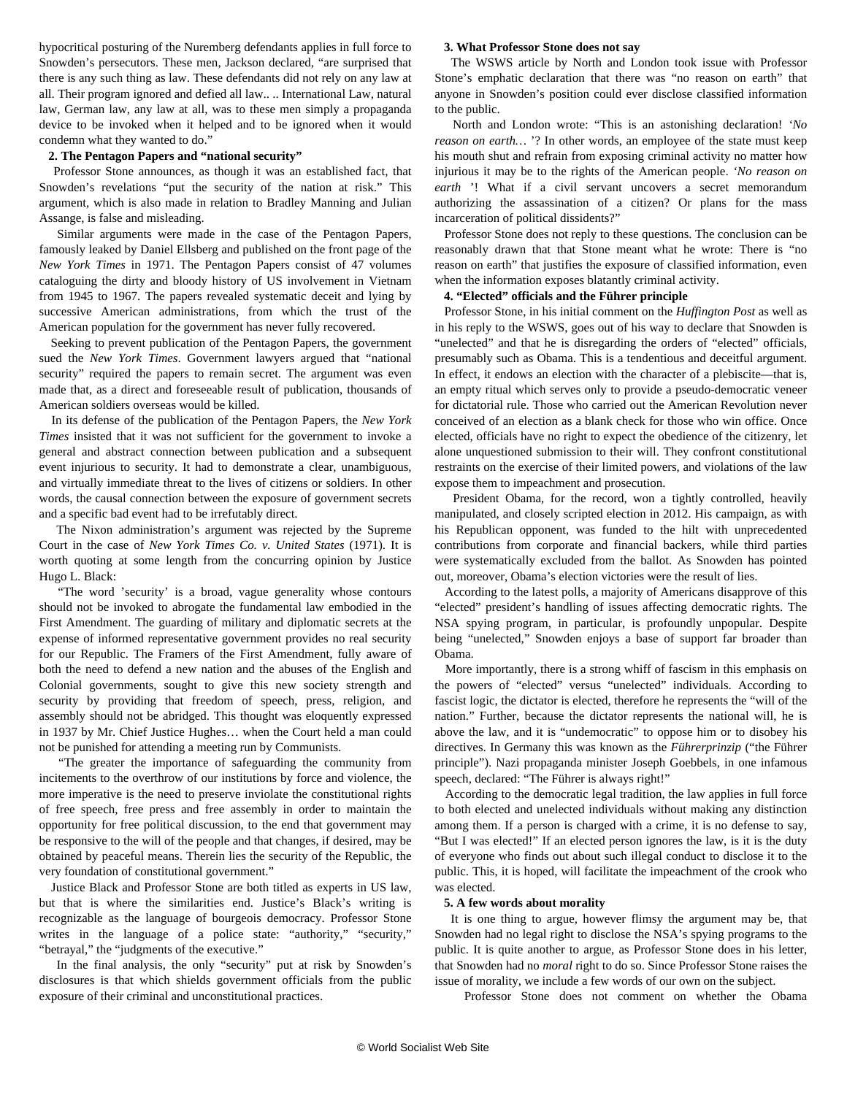hypocritical posturing of the Nuremberg defendants applies in full force to Snowden's persecutors. These men, Jackson declared, "are surprised that there is any such thing as law. These defendants did not rely on any law at all. Their program ignored and defied all law.. .. International Law, natural law, German law, any law at all, was to these men simply a propaganda device to be invoked when it helped and to be ignored when it would condemn what they wanted to do."

#### **2. The Pentagon Papers and "national security"**

 Professor Stone announces, as though it was an established fact, that Snowden's revelations "put the security of the nation at risk." This argument, which is also made in relation to Bradley Manning and Julian Assange, is false and misleading.

 Similar arguments were made in the case of the Pentagon Papers, famously leaked by Daniel Ellsberg and published on the front page of the *New York Times* in 1971. The Pentagon Papers consist of 47 volumes cataloguing the dirty and bloody history of US involvement in Vietnam from 1945 to 1967. The papers revealed systematic deceit and lying by successive American administrations, from which the trust of the American population for the government has never fully recovered.

 Seeking to prevent publication of the Pentagon Papers, the government sued the *New York Times*. Government lawyers argued that "national security" required the papers to remain secret. The argument was even made that, as a direct and foreseeable result of publication, thousands of American soldiers overseas would be killed.

 In its defense of the publication of the Pentagon Papers, the *New York Times* insisted that it was not sufficient for the government to invoke a general and abstract connection between publication and a subsequent event injurious to security. It had to demonstrate a clear, unambiguous, and virtually immediate threat to the lives of citizens or soldiers. In other words, the causal connection between the exposure of government secrets and a specific bad event had to be irrefutably direct.

 The Nixon administration's argument was rejected by the Supreme Court in the case of *New York Times Co. v. United States* (1971). It is worth quoting at some length from the concurring opinion by Justice Hugo L. Black:

 "The word 'security' is a broad, vague generality whose contours should not be invoked to abrogate the fundamental law embodied in the First Amendment. The guarding of military and diplomatic secrets at the expense of informed representative government provides no real security for our Republic. The Framers of the First Amendment, fully aware of both the need to defend a new nation and the abuses of the English and Colonial governments, sought to give this new society strength and security by providing that freedom of speech, press, religion, and assembly should not be abridged. This thought was eloquently expressed in 1937 by Mr. Chief Justice Hughes… when the Court held a man could not be punished for attending a meeting run by Communists.

 "The greater the importance of safeguarding the community from incitements to the overthrow of our institutions by force and violence, the more imperative is the need to preserve inviolate the constitutional rights of free speech, free press and free assembly in order to maintain the opportunity for free political discussion, to the end that government may be responsive to the will of the people and that changes, if desired, may be obtained by peaceful means. Therein lies the security of the Republic, the very foundation of constitutional government."

 Justice Black and Professor Stone are both titled as experts in US law, but that is where the similarities end. Justice's Black's writing is recognizable as the language of bourgeois democracy. Professor Stone writes in the language of a police state: "authority," "security," "betrayal," the "judgments of the executive."

 In the final analysis, the only "security" put at risk by Snowden's disclosures is that which shields government officials from the public exposure of their criminal and unconstitutional practices.

#### **3. What Professor Stone does not say**

 The WSWS article by North and London took issue with Professor Stone's emphatic declaration that there was "no reason on earth" that anyone in Snowden's position could ever disclose classified information to the public.

 North and London wrote: "This is an astonishing declaration! *'No reason on earth…* '? In other words, an employee of the state must keep his mouth shut and refrain from exposing criminal activity no matter how injurious it may be to the rights of the American people. *'No reason on earth* '! What if a civil servant uncovers a secret memorandum authorizing the assassination of a citizen? Or plans for the mass incarceration of political dissidents?"

 Professor Stone does not reply to these questions. The conclusion can be reasonably drawn that that Stone meant what he wrote: There is "no reason on earth" that justifies the exposure of classified information, even when the information exposes blatantly criminal activity.

#### **4. "Elected" officials and the Führer principle**

 Professor Stone, in his initial comment on the *Huffington Post* as well as in his reply to the WSWS, goes out of his way to declare that Snowden is "unelected" and that he is disregarding the orders of "elected" officials, presumably such as Obama. This is a tendentious and deceitful argument. In effect, it endows an election with the character of a plebiscite—that is, an empty ritual which serves only to provide a pseudo-democratic veneer for dictatorial rule. Those who carried out the American Revolution never conceived of an election as a blank check for those who win office. Once elected, officials have no right to expect the obedience of the citizenry, let alone unquestioned submission to their will. They confront constitutional restraints on the exercise of their limited powers, and violations of the law expose them to impeachment and prosecution.

 President Obama, for the record, won a tightly controlled, heavily manipulated, and closely scripted election in 2012. His campaign, as with his Republican opponent, was funded to the hilt with unprecedented contributions from corporate and financial backers, while third parties were systematically excluded from the ballot. As Snowden has pointed out, moreover, Obama's election victories were the result of lies.

 According to the latest polls, a majority of Americans disapprove of this "elected" president's handling of issues affecting democratic rights. The NSA spying program, in particular, is profoundly unpopular. Despite being "unelected," Snowden enjoys a base of support far broader than Obama.

 More importantly, there is a strong whiff of fascism in this emphasis on the powers of "elected" versus "unelected" individuals. According to fascist logic, the dictator is elected, therefore he represents the "will of the nation." Further, because the dictator represents the national will, he is above the law, and it is "undemocratic" to oppose him or to disobey his directives. In Germany this was known as the *Führerprinzip* ("the Führer principle"). Nazi propaganda minister Joseph Goebbels, in one infamous speech, declared: "The Führer is always right!"

 According to the democratic legal tradition, the law applies in full force to both elected and unelected individuals without making any distinction among them. If a person is charged with a crime, it is no defense to say, "But I was elected!" If an elected person ignores the law, is it is the duty of everyone who finds out about such illegal conduct to disclose it to the public. This, it is hoped, will facilitate the impeachment of the crook who was elected.

#### **5. A few words about morality**

 It is one thing to argue, however flimsy the argument may be, that Snowden had no legal right to disclose the NSA's spying programs to the public. It is quite another to argue, as Professor Stone does in his letter, that Snowden had no *moral* right to do so. Since Professor Stone raises the issue of morality, we include a few words of our own on the subject.

Professor Stone does not comment on whether the Obama